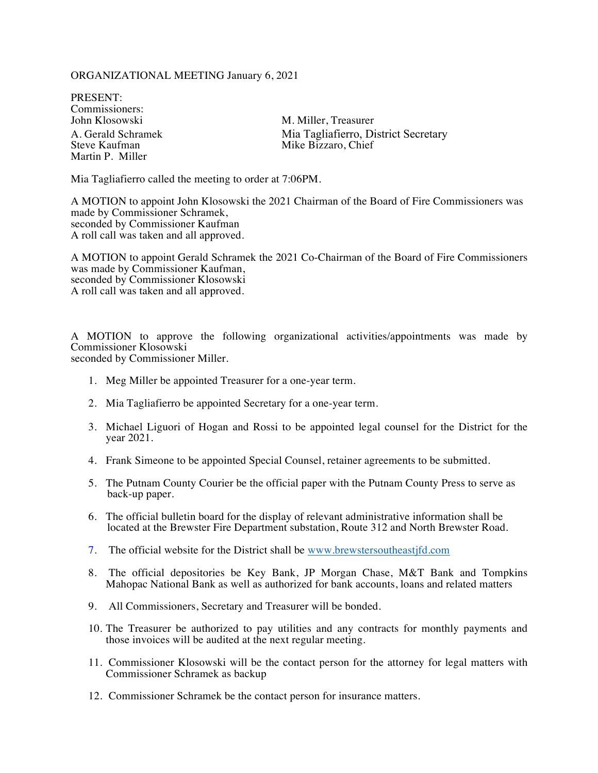## ORGANIZATIONAL MEETING January 6, 2021

PRESENT: Commissioners:<br>John Klosowski Martin P. Miller

M. Miller, Treasurer A. Gerald Schramek **Mia Tagliafierro, District Secretary**<br>Steve Kaufman Mike Bizzaro, Chief Mike Bizzaro, Chief

Mia Tagliafierro called the meeting to order at 7:06PM.

A MOTION to appoint John Klosowski the 2021 Chairman of the Board of Fire Commissioners was made by Commissioner Schramek, seconded by Commissioner Kaufman A roll call was taken and all approved.

A MOTION to appoint Gerald Schramek the 2021 Co-Chairman of the Board of Fire Commissioners was made by Commissioner Kaufman, seconded by Commissioner Klosowski A roll call was taken and all approved.

A MOTION to approve the following organizational activities/appointments was made by Commissioner Klosowski seconded by Commissioner Miller.

1. Meg Miller be appointed Treasurer for a one-year term.

- 2. Mia Tagliafierro be appointed Secretary for a one-year term.
- 3. Michael Liguori of Hogan and Rossi to be appointed legal counsel for the District for the year 2021.
- 4. Frank Simeone to be appointed Special Counsel, retainer agreements to be submitted.
- 5. The Putnam County Courier be the official paper with the Putnam County Press to serve as back-up paper.
- 6. The official bulletin board for the display of relevant administrative information shall be located at the Brewster Fire Department substation, Route 312 and North Brewster Road.
- 7. The official website for the District shall be www.brewstersoutheastjfd.com
- 8. The official depositories be Key Bank, JP Morgan Chase, M&T Bank and Tompkins Mahopac National Bank as well as authorized for bank accounts, loans and related matters
- 9. All Commissioners, Secretary and Treasurer will be bonded.
- 10. The Treasurer be authorized to pay utilities and any contracts for monthly payments and those invoices will be audited at the next regular meeting.
- 11. Commissioner Klosowski will be the contact person for the attorney for legal matters with Commissioner Schramek as backup
- 12. Commissioner Schramek be the contact person for insurance matters.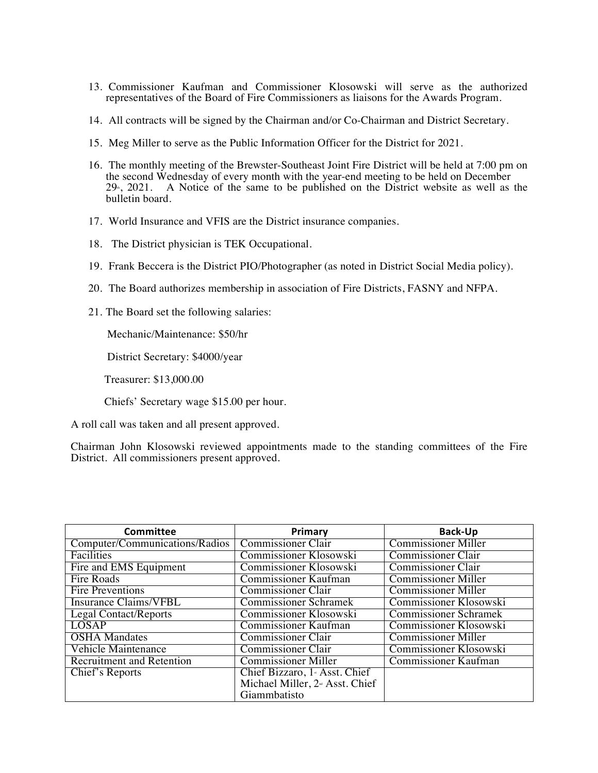- 13. Commissioner Kaufman and Commissioner Klosowski will serve as the authorized representatives of the Board of Fire Commissioners as liaisons for the Awards Program.
- 14. All contracts will be signed by the Chairman and/or Co-Chairman and District Secretary.
- 15. Meg Miller to serve as the Public Information Officer for the District for 2021.
- 16. The monthly meeting of the Brewster-Southeast Joint Fire District will be held at 7:00 pm on the second Wednesday of every month with the year-end meeting to be held on December  $29<sup>th</sup>$ ,  $2021$ . A Notice of the same to be published on the District website as well as the bulletin board.
- 17. World Insurance and VFIS are the District insurance companies.
- 18. The District physician is TEK Occupational.
- 19. Frank Beccera is the District PIO/Photographer (as noted in District Social Media policy).
- 20. The Board authorizes membership in association of Fire Districts, FASNY and NFPA.
- 21. The Board set the following salaries:

Mechanic/Maintenance: \$50/hr

District Secretary: \$4000/year

Treasurer: \$13,000.00

Chiefs' Secretary wage \$15.00 per hour.

A roll call was taken and all present approved.

Chairman John Klosowski reviewed appointments made to the standing committees of the Fire District. All commissioners present approved.

| <b>Committee</b>                 | Primary                                     | <b>Back-Up</b>               |
|----------------------------------|---------------------------------------------|------------------------------|
| Computer/Communications/Radios   | <b>Commissioner Clair</b>                   | <b>Commissioner Miller</b>   |
| Facilities                       | Commissioner Klosowski                      | <b>Commissioner Clair</b>    |
| Fire and EMS Equipment           | Commissioner Klosowski                      | <b>Commissioner Clair</b>    |
| Fire Roads                       | <b>Commissioner Kaufman</b>                 | <b>Commissioner Miller</b>   |
| Fire Preventions                 | Commissioner Clair                          | Commissioner Miller          |
| <b>Insurance Claims/VFBL</b>     | <b>Commissioner Schramek</b>                | Commissioner Klosowski       |
| Legal Contact/Reports            | Commissioner Klosowski                      | <b>Commissioner Schramek</b> |
| <b>LOSAP</b>                     | <b>Commissioner Kaufman</b>                 | Commissioner Klosowski       |
| <b>OSHA</b> Mandates             | <b>Commissioner Clair</b>                   | <b>Commissioner Miller</b>   |
| Vehicle Maintenance              | <b>Commissioner Clair</b>                   | Commissioner Klosowski       |
| <b>Recruitment and Retention</b> | Commissioner Miller                         | Commissioner Kaufman         |
| Chief's Reports                  | Chief Bizzaro, 1 <sub>s</sub> Asst. Chief   |                              |
|                                  | Michael Miller, 2 <sup>nd</sup> Asst. Chief |                              |
|                                  | Giammbatisto                                |                              |